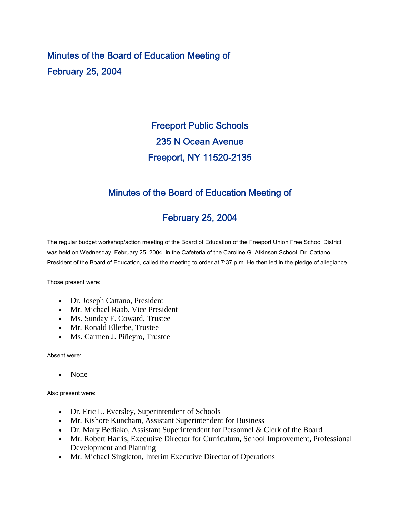## Minutes of the Board of Education Meeting of February 25, 2004

# Freeport Public Schools 235 N Ocean Avenue Freeport, NY 11520-2135

### Minutes of the Board of Education Meeting of

### February 25, 2004

The regular budget workshop/action meeting of the Board of Education of the Freeport Union Free School District was held on Wednesday, February 25, 2004, in the Cafeteria of the Caroline G. Atkinson School. Dr. Cattano, President of the Board of Education, called the meeting to order at 7:37 p.m. He then led in the pledge of allegiance.

Those present were:

- Dr. Joseph Cattano, President
- Mr. Michael Raab, Vice President
- Ms. Sunday F. Coward, Trustee
- Mr. Ronald Ellerbe, Trustee
- Ms. Carmen J. Piñeyro, Trustee

Absent were:

• None

Also present were:

- Dr. Eric L. Eversley, Superintendent of Schools
- Mr. Kishore Kuncham, Assistant Superintendent for Business
- Dr. Mary Bediako, Assistant Superintendent for Personnel & Clerk of the Board
- Mr. Robert Harris, Executive Director for Curriculum, School Improvement, Professional Development and Planning
- Mr. Michael Singleton, Interim Executive Director of Operations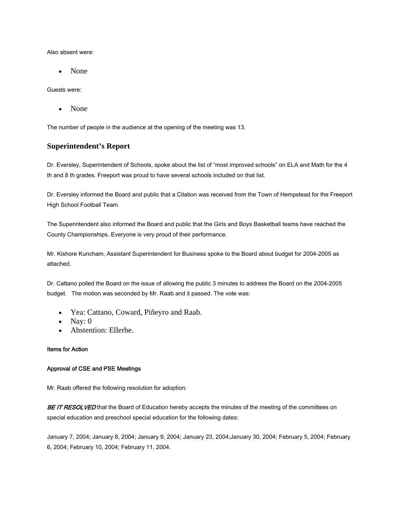Also absent were:

• None

Guests were:

• None

The number of people in the audience at the opening of the meeting was 13.

#### **Superintendent's Report**

Dr. Eversley, Superintendent of Schools, spoke about the list of "most improved schools" on ELA and Math for the 4 th and 8 th grades. Freeport was proud to have several schools included on that list.

Dr. Eversley informed the Board and public that a Citation was received from the Town of Hempstead for the Freeport High School Football Team.

The Superintendent also informed the Board and public that the Girls and Boys Basketball teams have reached the County Championships. Everyone is very proud of their performance.

Mr. Kishore Kuncham, Assistant Superintendent for Business spoke to the Board about budget for 2004-2005 as attached.

Dr. Cattano polled the Board on the issue of allowing the public 3 minutes to address the Board on the 2004-2005 budget. The motion was seconded by Mr. Raab and it passed. The vote was:

- Yea: Cattano, Coward, Piñeyro and Raab.
- Nay:  $0$
- Abstention: Ellerbe.

#### Items for Action

#### Approval of CSE and PSE Meetings

Mr. Raab offered the following resolution for adoption:

BE IT RESOLVED that the Board of Education hereby accepts the minutes of the meeting of the committees on special education and preschool special education for the following dates:

January 7, 2004; January 8, 2004; January 9, 2004; January 23, 2004;January 30, 2004; February 5, 2004; February 6, 2004; February 10, 2004; February 11, 2004.